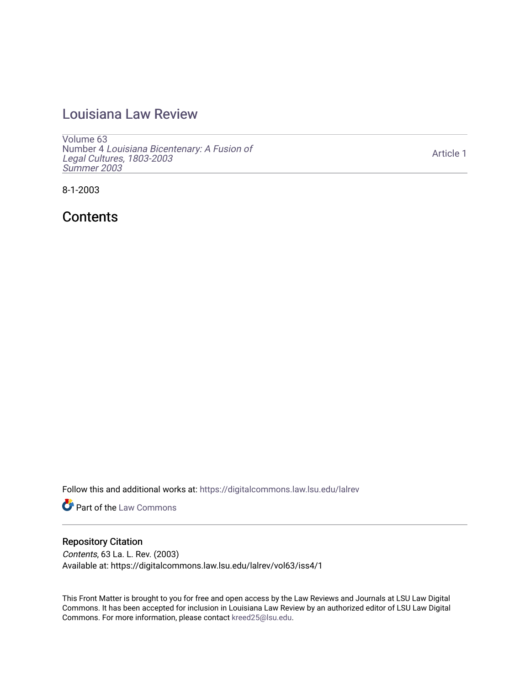# [Louisiana Law Review](https://digitalcommons.law.lsu.edu/lalrev)

[Volume 63](https://digitalcommons.law.lsu.edu/lalrev/vol63) Number 4 [Louisiana Bicentenary: A Fusion of](https://digitalcommons.law.lsu.edu/lalrev/vol63/iss4) [Legal Cultures, 1803-2003](https://digitalcommons.law.lsu.edu/lalrev/vol63/iss4) [Summer 2003](https://digitalcommons.law.lsu.edu/lalrev/vol63/iss4) 

[Article 1](https://digitalcommons.law.lsu.edu/lalrev/vol63/iss4/1) 

8-1-2003

**Contents** 

Follow this and additional works at: [https://digitalcommons.law.lsu.edu/lalrev](https://digitalcommons.law.lsu.edu/lalrev?utm_source=digitalcommons.law.lsu.edu%2Flalrev%2Fvol63%2Fiss4%2F1&utm_medium=PDF&utm_campaign=PDFCoverPages)

Part of the [Law Commons](https://network.bepress.com/hgg/discipline/578?utm_source=digitalcommons.law.lsu.edu%2Flalrev%2Fvol63%2Fiss4%2F1&utm_medium=PDF&utm_campaign=PDFCoverPages)

### Repository Citation

Contents, 63 La. L. Rev. (2003) Available at: https://digitalcommons.law.lsu.edu/lalrev/vol63/iss4/1

This Front Matter is brought to you for free and open access by the Law Reviews and Journals at LSU Law Digital Commons. It has been accepted for inclusion in Louisiana Law Review by an authorized editor of LSU Law Digital Commons. For more information, please contact [kreed25@lsu.edu](mailto:kreed25@lsu.edu).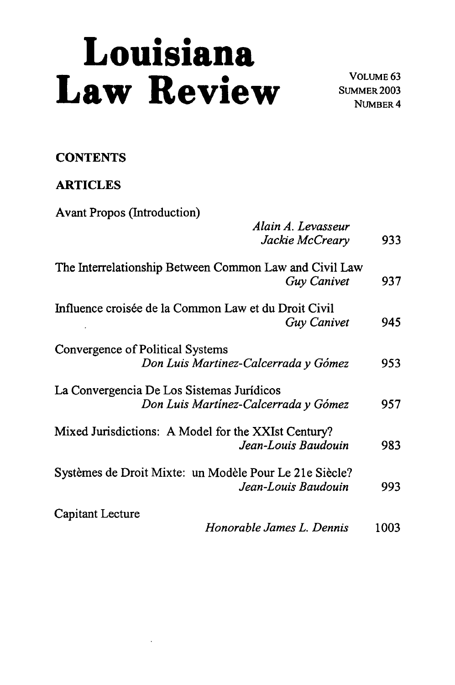# **Louisiana**<br>**Law Review <b>Propriet A MONDER 2003**

NUMBER 4

## **CONTENTS**

## ARTICLES

| <b>Avant Propos (Introduction)</b>                                                |      |
|-----------------------------------------------------------------------------------|------|
| Alain A. Levasseur<br>Jackie McCreary                                             | 933  |
| The Interrelationship Between Common Law and Civil Law<br>Guy Canivet             | 937  |
| Influence croisée de la Common Law et du Droit Civil<br><b>Guy Canivet</b>        | 945  |
| Convergence of Political Systems<br>Don Luis Martinez-Calcerrada y Gómez          | 953  |
| La Convergencia De Los Sistemas Jurídicos<br>Don Luis Martínez-Calcerrada y Gómez | 957  |
| Mixed Jurisdictions: A Model for the XXIst Century?<br>Jean-Louis Baudouin        | 983  |
| Systèmes de Droit Mixte: un Modèle Pour Le 21e Siècle?<br>Jean-Louis Baudouin     | 993  |
| Capitant Lecture<br>Honorable James L. Dennis                                     | 1003 |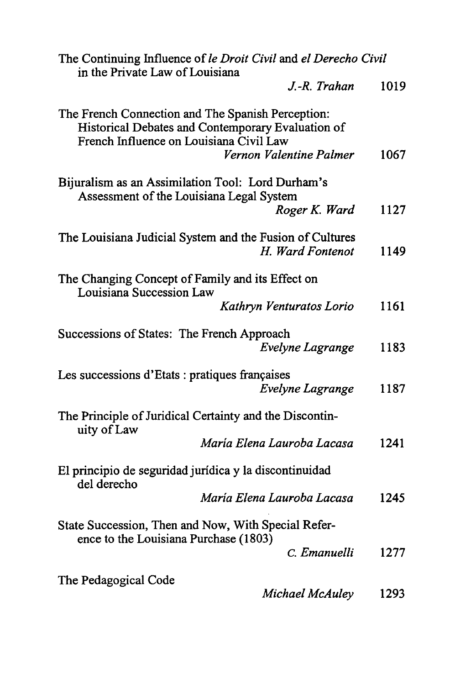| The Continuing Influence of le Droit Civil and el Derecho Civil<br>in the Private Law of Louisiana                                                |      |
|---------------------------------------------------------------------------------------------------------------------------------------------------|------|
| J.-R. Trahan                                                                                                                                      | 1019 |
| The French Connection and The Spanish Perception:<br>Historical Debates and Contemporary Evaluation of<br>French Influence on Louisiana Civil Law |      |
| Vernon Valentine Palmer                                                                                                                           | 1067 |
| Bijuralism as an Assimilation Tool: Lord Durham's<br>Assessment of the Louisiana Legal System                                                     |      |
| Roger K. Ward                                                                                                                                     | 1127 |
| The Louisiana Judicial System and the Fusion of Cultures<br>H. Ward Fontenot                                                                      | 1149 |
| The Changing Concept of Family and its Effect on<br>Louisiana Succession Law                                                                      |      |
| Kathryn Venturatos Lorio                                                                                                                          | 1161 |
| Successions of States: The French Approach<br><b>Evelyne Lagrange</b>                                                                             | 1183 |
| Les successions d'Etats : pratiques françaises<br>Evelyne Lagrange                                                                                | 1187 |
| The Principle of Juridical Certainty and the Discontin-<br>uity of Law                                                                            |      |
| María Elena Lauroba Lacasa                                                                                                                        | 1241 |
| El principio de seguridad jurídica y la discontinuidad<br>del derecho                                                                             |      |
| María Elena Lauroba Lacasa                                                                                                                        | 1245 |
| State Succession, Then and Now, With Special Refer-<br>ence to the Louisiana Purchase (1803)                                                      |      |
| C. Emanuelli                                                                                                                                      | 1277 |
| The Pedagogical Code<br>Michael McAuley                                                                                                           | 1293 |